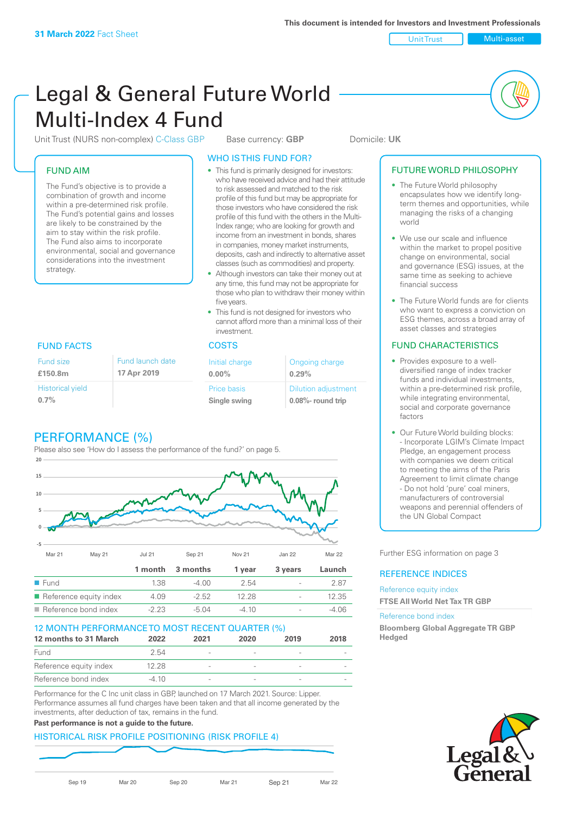Unit Trust Multi-asset

# Legal & General Future World Multi-Index 4 Fund

Unit Trust (NURS non-complex) C-Class GBP Base currency: **GBP** Domicile: UK

#### FUND AIM

Fund size **£150.8m**

**0.7%**

Historical yield

The Fund's objective is to provide a combination of growth and income within a pre-determined risk profile. The Fund's potential gains and losses are likely to be constrained by the aim to stay within the risk profile. The Fund also aims to incorporate environmental, social and governance considerations into the investment strategy.

## WHO IS THIS FUND FOR?

- This fund is primarily designed for investors: who have received advice and had their attitude to risk assessed and matched to the risk profile of this fund but may be appropriate for those investors who have considered the risk profile of this fund with the others in the Multi-Index range; who are looking for growth and income from an investment in bonds, shares in companies, money market instruments, deposits, cash and indirectly to alternative asset classes (such as commodities) and property.
- Although investors can take their money out at any time, this fund may not be appropriate for those who plan to withdraw their money within five years.
- This fund is not designed for investors who cannot afford more than a minimal loss of their investment.

#### FUND FACTS COSTS

| Fund launch date |  | Initial charge              | Ongoing charge                                  |
|------------------|--|-----------------------------|-------------------------------------------------|
| 17 Apr 2019      |  | $0.00\%$                    | 0.29%                                           |
|                  |  | Price basis<br>Single swing | <b>Dilution adjustment</b><br>0.08%- round trip |

## PERFORMANCE (%)

Please also see 'How do I assess the performance of the fund?' on page 5.



|                                       |        | 1 month 3 months | 1 vear  | 3 years                  | Launch |
|---------------------------------------|--------|------------------|---------|--------------------------|--------|
| $\blacksquare$ Fund                   | 1.38   | -4.00            | 2.54    | $\overline{\phantom{a}}$ | 2 87   |
| $\blacksquare$ Reference equity index | 4.09   | $-2.52$          | 12.28   | $\overline{\phantom{0}}$ | 12.35  |
| $\blacksquare$ Reference bond index   | $-223$ | -5.04            | $-4.10$ | $\overline{\phantom{0}}$ | -4 06  |

#### 12 MONTH PERFORMANCE TO MOST RECENT QUARTER (%)

| 12 months to 31 March  | 2022  | 2021                     | 2020 | 2019                     | 2018 |
|------------------------|-------|--------------------------|------|--------------------------|------|
| Fund                   | 2.54  | $\overline{\phantom{a}}$ |      | $\overline{\phantom{a}}$ |      |
| Reference equity index | 12.28 | $\overline{\phantom{a}}$ |      | $\overline{\phantom{a}}$ |      |
| Reference bond index   | -4 10 | $\overline{\phantom{a}}$ |      |                          |      |

Performance for the C Inc unit class in GBP, launched on 17 March 2021. Source: Lipper. Performance assumes all fund charges have been taken and that all income generated by the investments, after deduction of tax, remains in the fund.

#### **Past performance is not a guide to the future.**

### HISTORICAL RISK PROFILE POSITIONING (RISK PROFILE 4)

Sep 19 Mar 20 Sep 20 Mar 21 Sep 21 Mar 22

#### FUTURE WORLD PHILOSOPHY

- The Future World philosophy encapsulates how we identify longterm themes and opportunities, while managing the risks of a changing world
- We use our scale and influence within the market to propel positive change on environmental, social and governance (ESG) issues, at the same time as seeking to achieve financial success
- The Future World funds are for clients who want to express a conviction on ESG themes, across a broad array of asset classes and strategies

#### FUND CHARACTERISTICS

- Provides exposure to a welldiversified range of index tracker funds and individual investments, within a pre-determined risk profile. while integrating environmental, social and corporate governance factors
- Our Future World building blocks: - Incorporate LGIM's Climate Impact Pledge, an engagement process with companies we deem critical to meeting the aims of the Paris Agreement to limit climate change - Do not hold 'pure' coal miners, manufacturers of controversial weapons and perennial offenders of the UN Global Compact

Further ESG information on page 3

#### REFERENCE INDICES

Reference equity index **FTSE All World Net Tax TR GBP**

#### Reference bond index

**Bloomberg Global Aggregate TR GBP Hedged**

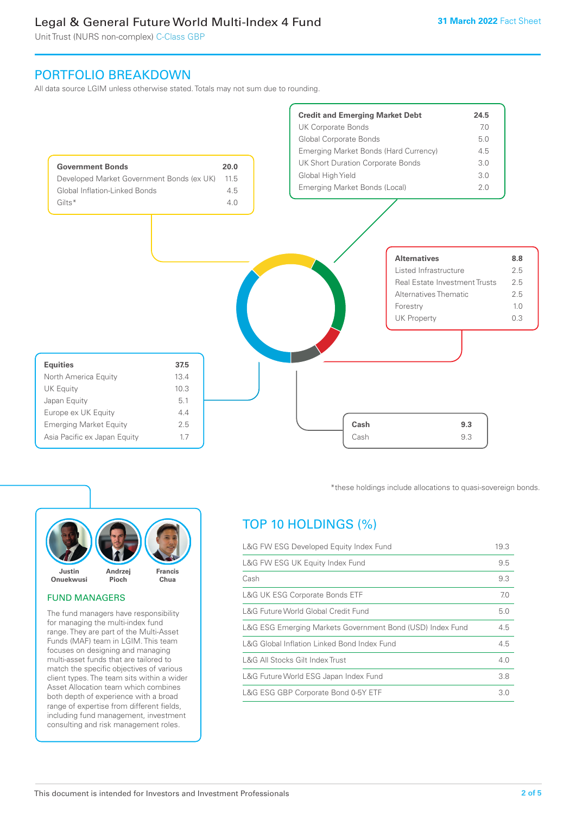Unit Trust (NURS non-complex) C-Class GBP

## PORTFOLIO BREAKDOWN

All data source LGIM unless otherwise stated. Totals may not sum due to rounding.





#### FUND MANAGERS

The fund managers have responsibility for managing the multi-index fund range. They are part of the Multi-Asset Funds (MAF) team in LGIM. This team focuses on designing and managing multi-asset funds that are tailored to match the specific objectives of various client types. The team sits within a wider Asset Allocation team which combines both depth of experience with a broad range of expertise from different fields, including fund management, investment consulting and risk management roles.

\*these holdings include allocations to quasi-sovereign bonds.

## TOP 10 HOLDINGS (%)

| L&G FW ESG Developed Equity Index Fund                    |     |  |
|-----------------------------------------------------------|-----|--|
| L&G FW ESG UK Equity Index Fund                           | 9.5 |  |
| Cash                                                      | 9.3 |  |
| <b>L&amp;G UK ESG Corporate Bonds ETF</b>                 | 7.0 |  |
| L&G Future World Global Credit Fund                       | 5.0 |  |
| L&G ESG Emerging Markets Government Bond (USD) Index Fund | 4.5 |  |
| L&G Global Inflation Linked Bond Index Fund               | 4.5 |  |
| L&G All Stocks Gilt Index Trust                           | 4.0 |  |
| L&G Future World ESG Japan Index Fund                     | 3.8 |  |
| L&G ESG GBP Corporate Bond 0-5Y ETF                       | 3.0 |  |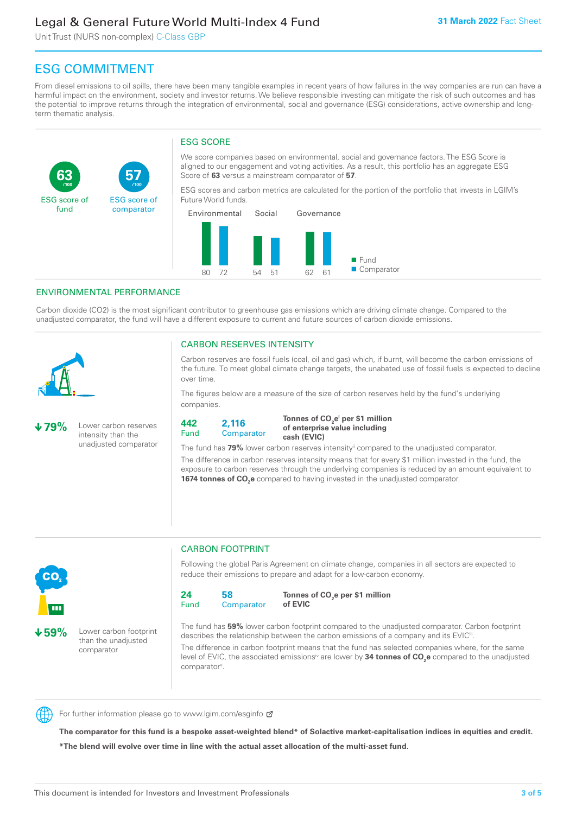Unit Trust (NURS non-complex) C-Class GBP

**57**

ESG score of comparator

## ESG COMMITMENT

From diesel emissions to oil spills, there have been many tangible examples in recent years of how failures in the way companies are run can have a harmful impact on the environment, society and investor returns. We believe responsible investing can mitigate the risk of such outcomes and has the potential to improve returns through the integration of environmental, social and governance (ESG) considerations, active ownership and longterm thematic analysis.

#### ESG SCORE

We score companies based on environmental, social and governance factors. The ESG Score is aligned to our engagement and voting activities. As a result, this portfolio has an aggregate ESG Score of **63** versus a mainstream comparator of **57**.

ESG scores and carbon metrics are calculated for the portion of the portfolio that invests in LGIM's Future World funds.



#### ENVIRONMENTAL PERFORMANCE

**/100 /100**

Carbon dioxide (CO2) is the most significant contributor to greenhouse gas emissions which are driving climate change. Compared to the unadjusted comparator, the fund will have a different exposure to current and future sources of carbon dioxide emissions.



**63**

ESG score of fund

#### CARBON RESERVES INTENSITY

Carbon reserves are fossil fuels (coal, oil and gas) which, if burnt, will become the carbon emissions of the future. To meet global climate change targets, the unabated use of fossil fuels is expected to decline over time.

The figures below are a measure of the size of carbon reserves held by the fund's underlying companies.

**79%** Lower carbon reserves intensity than the unadjusted comparator



Tonnes of CO<sub>2</sub>e<sup>i</sup> per \$1 million **of enterprise value including cash (EVIC)**

The fund has 79% lower carbon reserves intensity<sup>ii</sup> compared to the unadjusted comparator.

The difference in carbon reserves intensity means that for every \$1 million invested in the fund, the exposure to carbon reserves through the underlying companies is reduced by an amount equivalent to **1674 tonnes of CO<sub>2</sub>e** compared to having invested in the unadjusted comparator.



**59%** Lower carbon footprint than the unadjusted comparator

#### CARBON FOOTPRINT

Following the global Paris Agreement on climate change, companies in all sectors are expected to reduce their emissions to prepare and adapt for a low-carbon economy.



**Tonnes of CO2 e per \$1 million of EVIC**

The fund has **59%** lower carbon footprint compared to the unadjusted comparator. Carbon footprint describes the relationship between the carbon emissions of a company and its EVIC<sup>ii</sup>.

The difference in carbon footprint means that the fund has selected companies where, for the same level of EVIC, the associated emissions<sup>iv</sup> are lower by **34 tonnes of CO<sub>2</sub>e** compared to the unadjusted comparator<sup>v</sup>.



For further information please go to www.lgim.com/esginfo Ø

**The comparator for this fund is a bespoke asset-weighted blend\* of Solactive market-capitalisation indices in equities and credit. \*The blend will evolve over time in line with the actual asset allocation of the multi-asset fund.**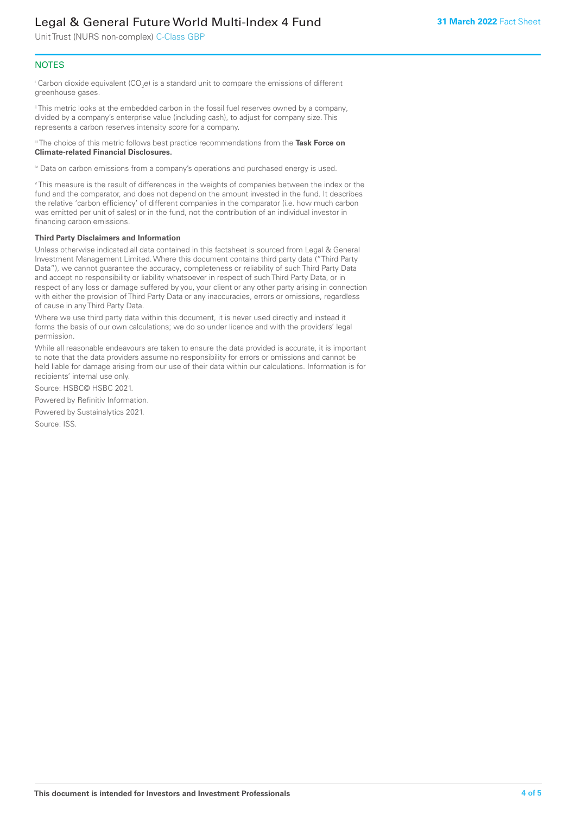Unit Trust (NURS non-complex) C-Class GBP

#### **NOTES**

 $^\mathrm{i}$  Carbon dioxide equivalent (CO<sub>2</sub>e) is a standard unit to compare the emissions of different greenhouse gases.

ii This metric looks at the embedded carbon in the fossil fuel reserves owned by a company, divided by a company's enterprise value (including cash), to adjust for company size. This represents a carbon reserves intensity score for a company.

iii The choice of this metric follows best practice recommendations from the **Task Force on Climate-related Financial Disclosures.**

iv Data on carbon emissions from a company's operations and purchased energy is used.

v This measure is the result of differences in the weights of companies between the index or the fund and the comparator, and does not depend on the amount invested in the fund. It describes the relative 'carbon efficiency' of different companies in the comparator (i.e. how much carbon was emitted per unit of sales) or in the fund, not the contribution of an individual investor in financing carbon emissions.

#### **Third Party Disclaimers and Information**

Unless otherwise indicated all data contained in this factsheet is sourced from Legal & General Investment Management Limited. Where this document contains third party data ("Third Party Data"), we cannot guarantee the accuracy, completeness or reliability of such Third Party Data and accept no responsibility or liability whatsoever in respect of such Third Party Data, or in respect of any loss or damage suffered by you, your client or any other party arising in connection with either the provision of Third Party Data or any inaccuracies, errors or omissions, regardless of cause in any Third Party Data.

Where we use third party data within this document, it is never used directly and instead it forms the basis of our own calculations; we do so under licence and with the providers' legal permission.

While all reasonable endeavours are taken to ensure the data provided is accurate, it is important to note that the data providers assume no responsibility for errors or omissions and cannot be held liable for damage arising from our use of their data within our calculations. Information is for recipients' internal use only.

Source: HSBC© HSBC 2021.

Powered by Refinitiv Information.

Powered by Sustainalytics 2021.

Source: ISS.